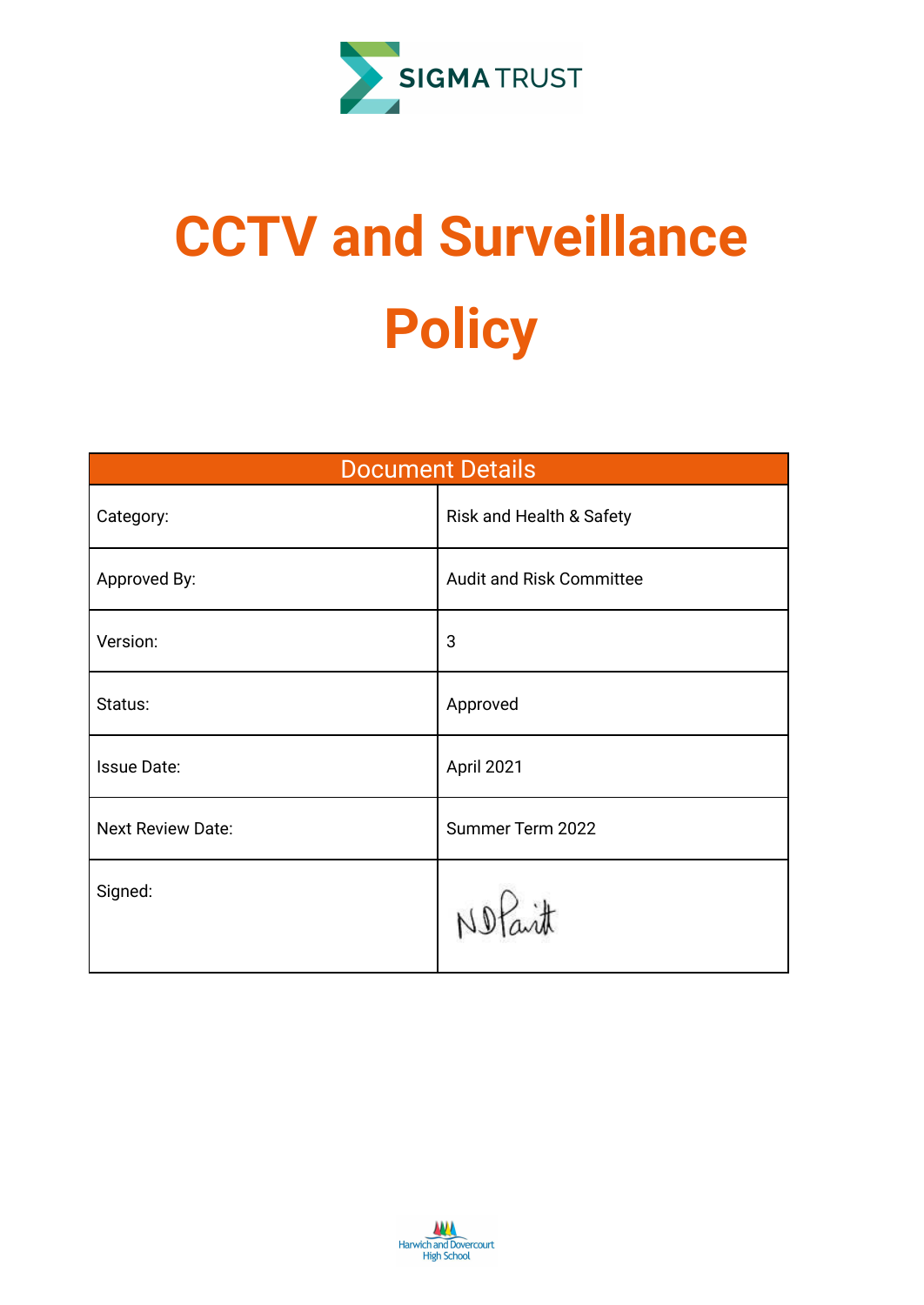

# **CCTV and Surveillance Policy**

| <b>Document Details</b> |                                 |  |  |  |  |  |
|-------------------------|---------------------------------|--|--|--|--|--|
| Category:               | Risk and Health & Safety        |  |  |  |  |  |
| Approved By:            | <b>Audit and Risk Committee</b> |  |  |  |  |  |
| Version:                | 3                               |  |  |  |  |  |
| Status:                 | Approved                        |  |  |  |  |  |
| <b>Issue Date:</b>      | April 2021                      |  |  |  |  |  |
| Next Review Date:       | Summer Term 2022                |  |  |  |  |  |
| Signed:                 |                                 |  |  |  |  |  |

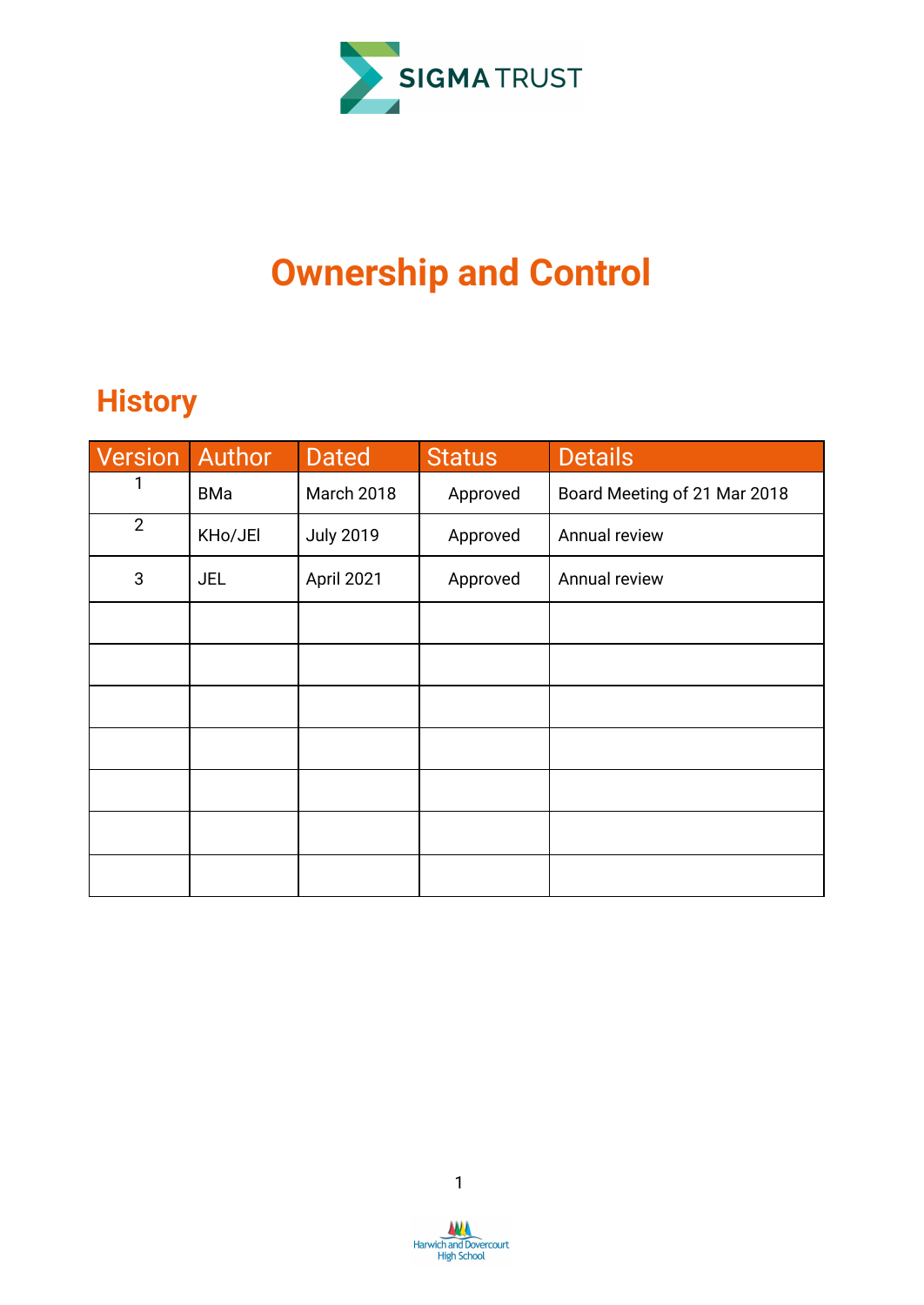

## **Ownership and Control**

## **History**

| Version Author |            | <b>Dated</b>     | <b>Status</b> | <b>Details</b>               |
|----------------|------------|------------------|---------------|------------------------------|
|                | <b>BMa</b> | March 2018       | Approved      | Board Meeting of 21 Mar 2018 |
| $\mathbf{2}$   | KHo/JEI    | <b>July 2019</b> | Approved      | Annual review                |
| $\sqrt{3}$     | <b>JEL</b> | April 2021       | Approved      | Annual review                |
|                |            |                  |               |                              |
|                |            |                  |               |                              |
|                |            |                  |               |                              |
|                |            |                  |               |                              |
|                |            |                  |               |                              |
|                |            |                  |               |                              |
|                |            |                  |               |                              |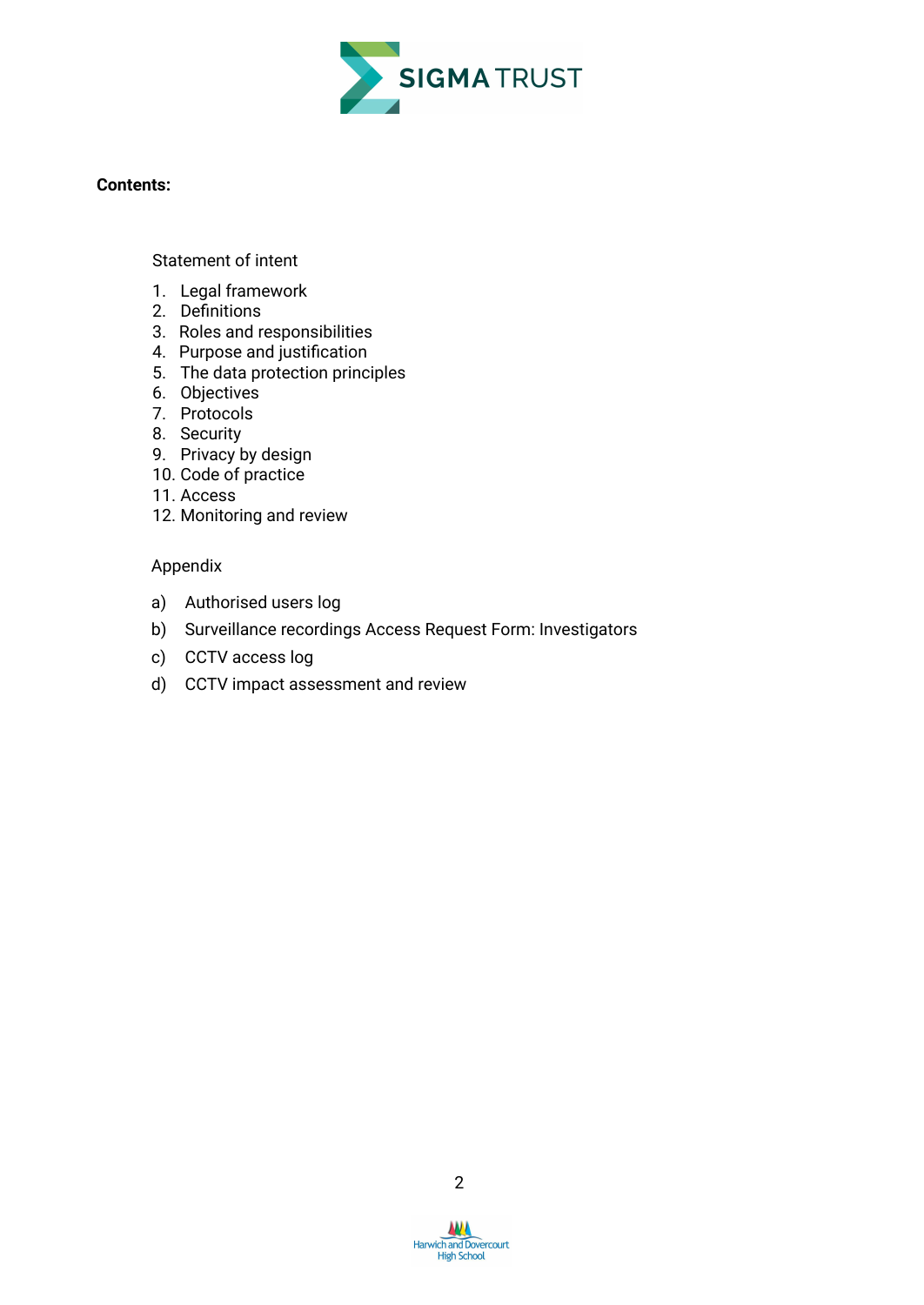

#### **Contents:**

[Statement](#page-3-0) of intent

- 1. Legal framework
- 2. [Definitions](#page-4-0)
- 3. Roles and [responsibilities](#page-5-0)
- 4. Purpose and [justification](#page-6-0)
- 5. The data [protection](#page-7-0) principles
- 6. [Objectives](#page-7-1)
- 7. [Protocols](#page-7-2)
- 8. [Security](#page-8-0)
- 9. [Privacy](#page-9-0) by design
- 10. Code of [practice](#page-9-1)
- 11. [Access](#page-10-0)
- 12. [Monitoring](#page-12-0) and review

#### Appendix

- a) Authorised users log
- b) Surveillance recordings Access Request Form: Investigators
- c) CCTV access log
- d) CCTV impact assessment and review

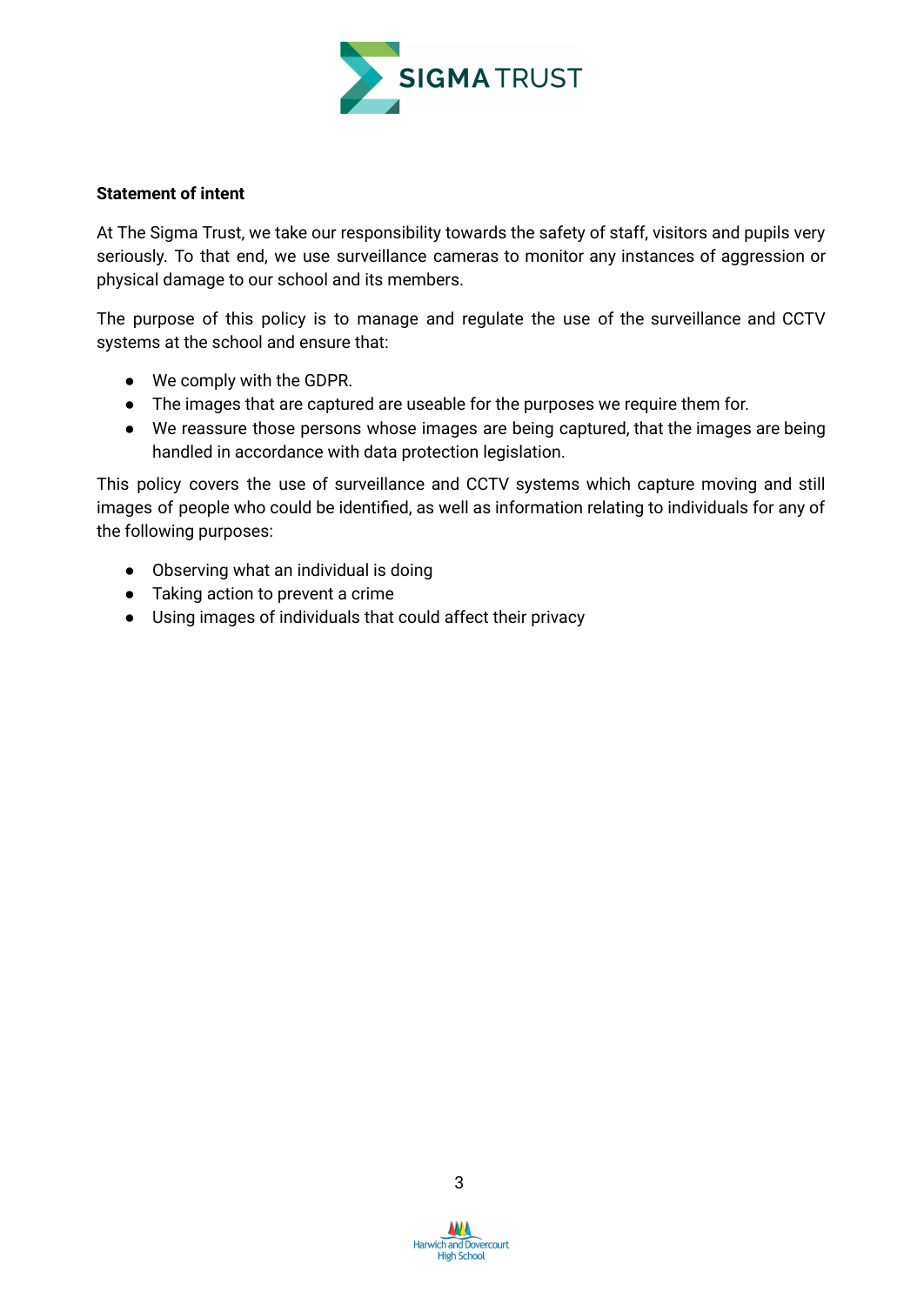

#### <span id="page-3-0"></span>**Statement of intent**

At The Sigma Trust, we take our responsibility towards the safety of staff, visitors and pupils very seriously. To that end, we use surveillance cameras to monitor any instances of aggression or physical damage to our school and its members.

The purpose of this policy is to manage and regulate the use of the surveillance and CCTV systems at the school and ensure that:

- We comply with the GDPR.
- The images that are captured are useable for the purposes we require them for.
- We reassure those persons whose images are being captured, that the images are being handled in accordance with data protection legislation.

This policy covers the use of surveillance and CCTV systems which capture moving and still images of people who could be identified, as well as information relating to individuals for any of the following purposes:

- Observing what an individual is doing
- Taking action to prevent a crime
- Using images of individuals that could affect their privacy

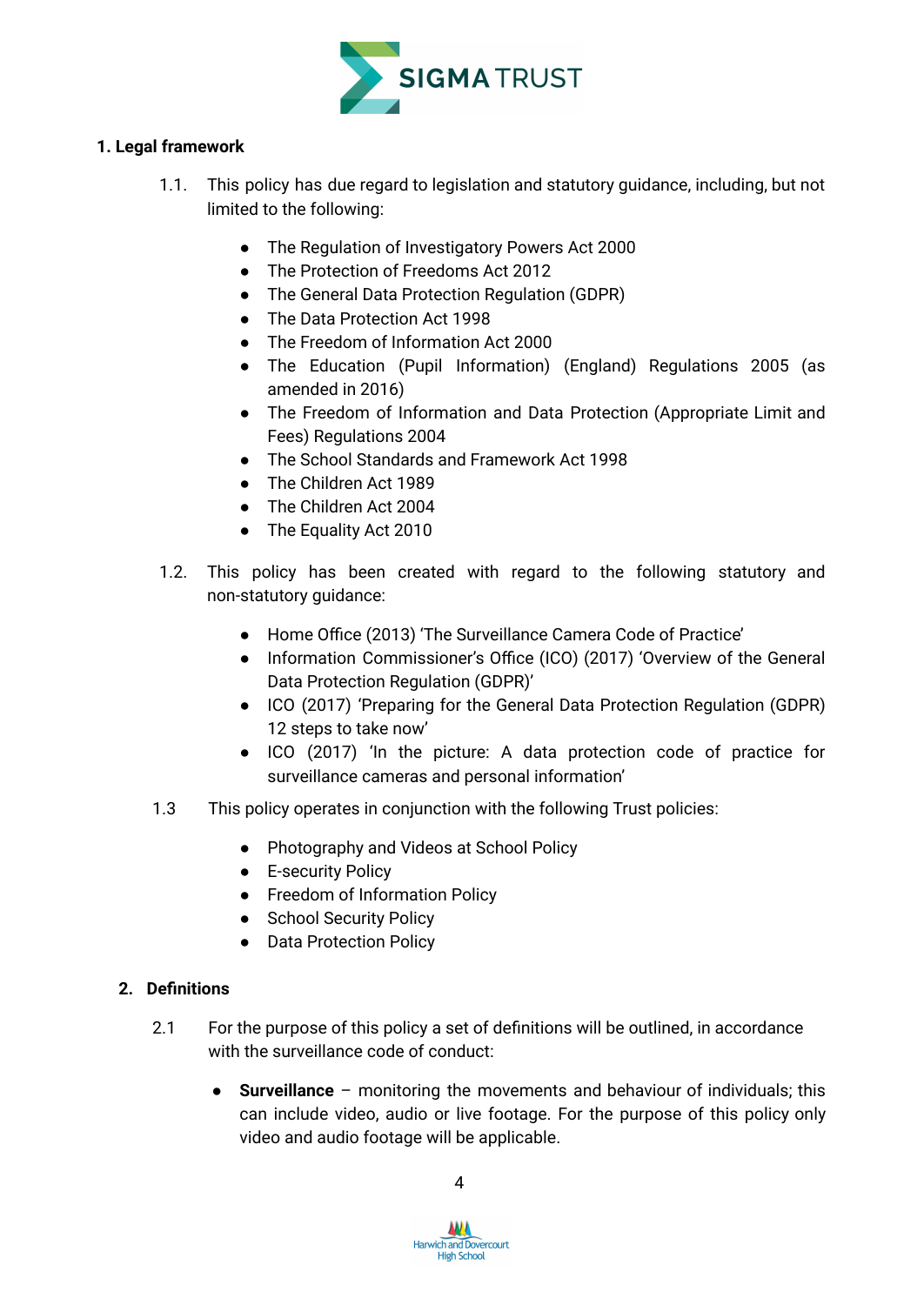

#### **1. Legal framework**

- 1.1. This policy has due regard to legislation and statutory guidance, including, but not limited to the following:
	- The Regulation of Investigatory Powers Act 2000
	- The Protection of Freedoms Act 2012
	- The General Data Protection Regulation (GDPR)
	- The Data Protection Act 1998
	- The Freedom of Information Act 2000
	- The Education (Pupil Information) (England) Regulations 2005 (as amended in 2016)
	- The Freedom of Information and Data Protection (Appropriate Limit and Fees) Regulations 2004
	- The School Standards and Framework Act 1998
	- The Children Act 1989
	- The Children Act 2004
	- The Equality Act 2010
- 1.2. This policy has been created with regard to the following statutory and non-statutory guidance:
	- Home Office (2013) 'The Surveillance Camera Code of Practice'
	- Information Commissioner's Office (ICO) (2017) 'Overview of the General Data Protection Regulation (GDPR)'
	- ICO (2017) 'Preparing for the General Data Protection Regulation (GDPR) 12 steps to take now'
	- ICO (2017) 'In the picture: A data protection code of practice for surveillance cameras and personal information'
- 1.3 This policy operates in conjunction with the following Trust policies:
	- Photography and Videos at School Policy
	- E-security Policy
	- Freedom of Information Policy
	- School Security Policy
	- Data Protection Policy

#### <span id="page-4-0"></span>**2. Definitions**

- 2.1 For the purpose of this policy a set of definitions will be outlined, in accordance with the surveillance code of conduct:
	- **Surveillance** monitoring the movements and behaviour of individuals; this can include video, audio or live footage. For the purpose of this policy only video and audio footage will be applicable.

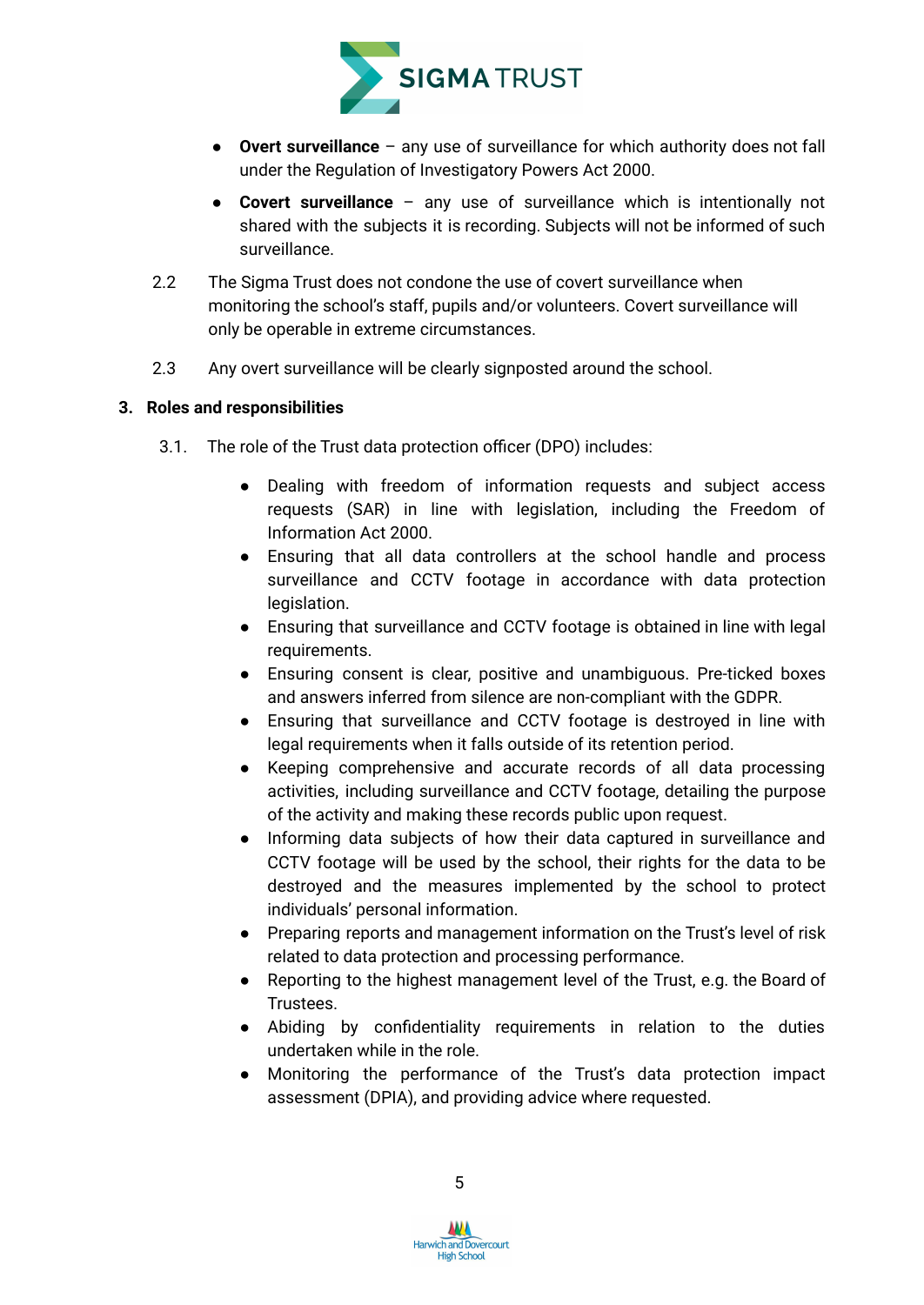

- **Overt surveillance** any use of surveillance for which authority does not fall under the Regulation of Investigatory Powers Act 2000.
- **Covert surveillance** any use of surveillance which is intentionally not shared with the subjects it is recording. Subjects will not be informed of such surveillance.
- 2.2 The Sigma Trust does not condone the use of covert surveillance when monitoring the school's staff, pupils and/or volunteers. Covert surveillance will only be operable in extreme circumstances.
- 2.3 Any overt surveillance will be clearly signposted around the school.

#### <span id="page-5-0"></span>**3. Roles and responsibilities**

- 3.1. The role of the Trust data protection officer (DPO) includes:
	- Dealing with freedom of information requests and subject access requests (SAR) in line with legislation, including the Freedom of Information Act 2000.
	- Ensuring that all data controllers at the school handle and process surveillance and CCTV footage in accordance with data protection legislation.
	- Ensuring that surveillance and CCTV footage is obtained in line with legal requirements.
	- Ensuring consent is clear, positive and unambiguous. Pre-ticked boxes and answers inferred from silence are non-compliant with the GDPR.
	- Ensuring that surveillance and CCTV footage is destroyed in line with legal requirements when it falls outside of its retention period.
	- Keeping comprehensive and accurate records of all data processing activities, including surveillance and CCTV footage, detailing the purpose of the activity and making these records public upon request.
	- Informing data subjects of how their data captured in surveillance and CCTV footage will be used by the school, their rights for the data to be destroyed and the measures implemented by the school to protect individuals' personal information.
	- Preparing reports and management information on the Trust's level of risk related to data protection and processing performance.
	- Reporting to the highest management level of the Trust, e.g. the Board of Trustees.
	- Abiding by confidentiality requirements in relation to the duties undertaken while in the role.
	- Monitoring the performance of the Trust's data protection impact assessment (DPIA), and providing advice where requested.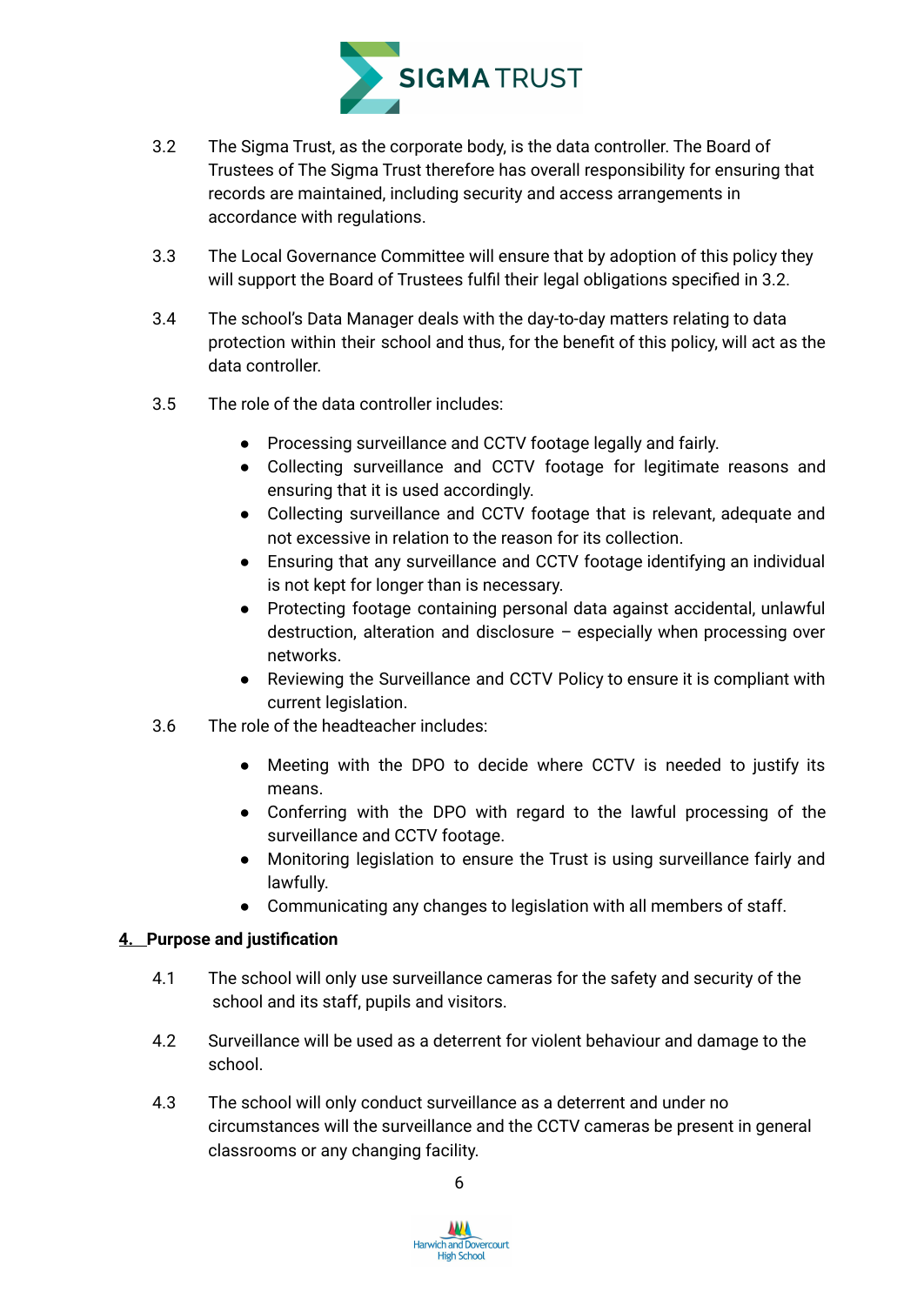

- 3.2 The Sigma Trust, as the corporate body, is the data controller. The Board of Trustees of The Sigma Trust therefore has overall responsibility for ensuring that records are maintained, including security and access arrangements in accordance with regulations.
- 3.3 The Local Governance Committee will ensure that by adoption of this policy they will support the Board of Trustees fulfil their legal obligations specified in 3.2.
- 3.4 The school's Data Manager deals with the day-to-day matters relating to data protection within their school and thus, for the benefit of this policy, will act as the data controller.
- 3.5 The role of the data controller includes:
	- Processing surveillance and CCTV footage legally and fairly.
	- Collecting surveillance and CCTV footage for legitimate reasons and ensuring that it is used accordingly.
	- Collecting surveillance and CCTV footage that is relevant, adequate and not excessive in relation to the reason for its collection.
	- Ensuring that any surveillance and CCTV footage identifying an individual is not kept for longer than is necessary.
	- Protecting footage containing personal data against accidental, unlawful destruction, alteration and disclosure – especially when processing over networks.
	- Reviewing the Surveillance and CCTV Policy to ensure it is compliant with current legislation.
- 3.6 The role of the headteacher includes:
	- Meeting with the DPO to decide where CCTV is needed to justify its means.
	- Conferring with the DPO with regard to the lawful processing of the surveillance and CCTV footage.
	- Monitoring legislation to ensure the Trust is using surveillance fairly and lawfully.
	- Communicating any changes to legislation with all members of staff.

#### <span id="page-6-0"></span>**4. Purpose and justification**

- 4.1 The school will only use surveillance cameras for the safety and security of the school and its staff, pupils and visitors.
- 4.2 Surveillance will be used as a deterrent for violent behaviour and damage to the school.
- 4.3 The school will only conduct surveillance as a deterrent and under no circumstances will the surveillance and the CCTV cameras be present in general classrooms or any changing facility.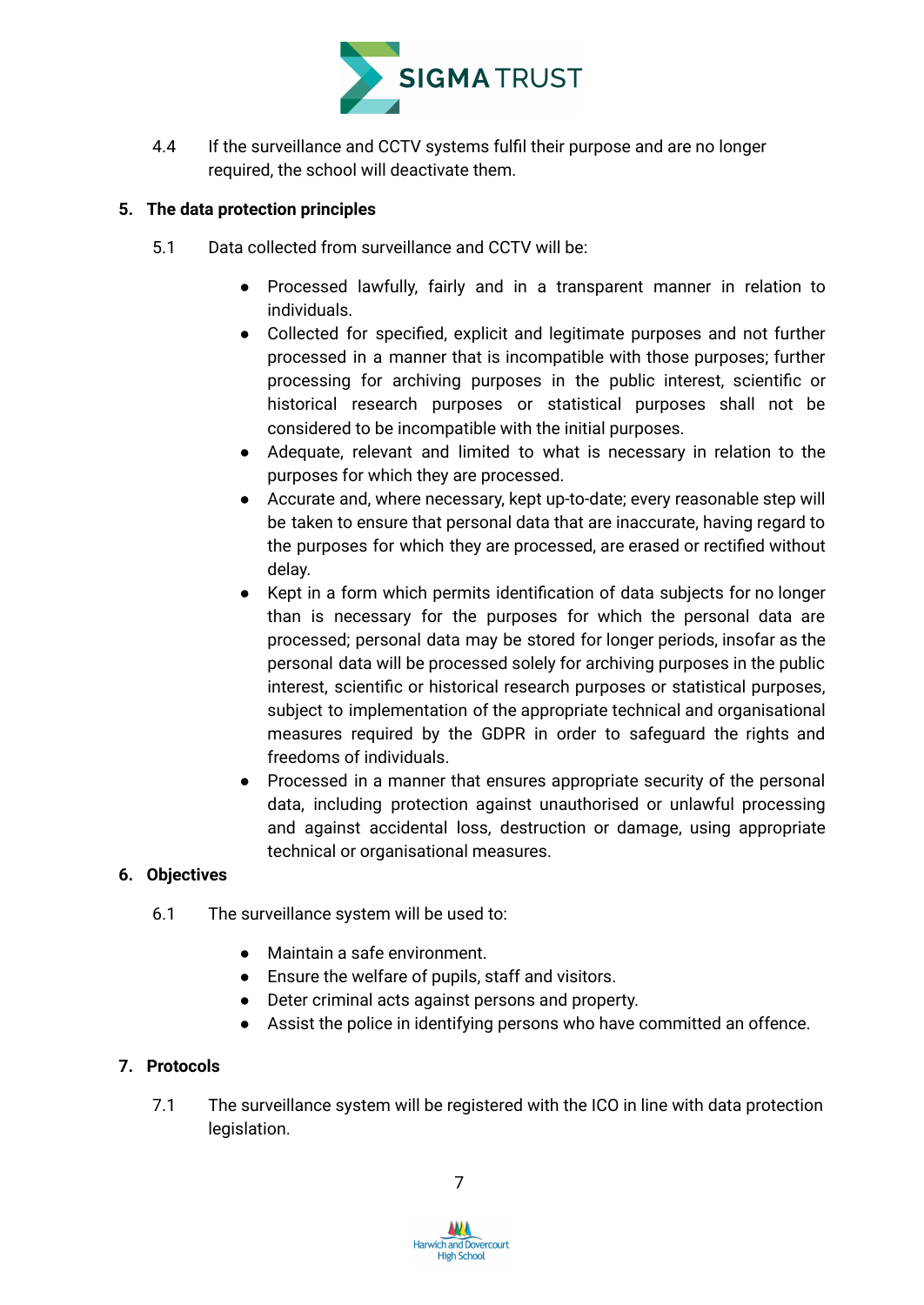

4.4 If the surveillance and CCTV systems fulfil their purpose and are no longer required, the school will deactivate them.

#### <span id="page-7-0"></span>**5. The data protection principles**

- 5.1 Data collected from surveillance and CCTV will be:
	- Processed lawfully, fairly and in a transparent manner in relation to individuals.
	- Collected for specified, explicit and legitimate purposes and not further processed in a manner that is incompatible with those purposes; further processing for archiving purposes in the public interest, scientific or historical research purposes or statistical purposes shall not be considered to be incompatible with the initial purposes.
	- Adequate, relevant and limited to what is necessary in relation to the purposes for which they are processed.
	- Accurate and, where necessary, kept up-to-date; every reasonable step will be taken to ensure that personal data that are inaccurate, having regard to the purposes for which they are processed, are erased or rectified without delay.
	- Kept in a form which permits identification of data subjects for no longer than is necessary for the purposes for which the personal data are processed; personal data may be stored for longer periods, insofar as the personal data will be processed solely for archiving purposes in the public interest, scientific or historical research purposes or statistical purposes, subject to implementation of the appropriate technical and organisational measures required by the GDPR in order to safeguard the rights and freedoms of individuals.
	- Processed in a manner that ensures appropriate security of the personal data, including protection against unauthorised or unlawful processing and against accidental loss, destruction or damage, using appropriate technical or organisational measures.

#### <span id="page-7-1"></span>**6. Objectives**

- 6.1 The surveillance system will be used to:
	- Maintain a safe environment.
	- Ensure the welfare of pupils, staff and visitors.
	- Deter criminal acts against persons and property.
	- Assist the police in identifying persons who have committed an offence.

#### <span id="page-7-2"></span>**7. Protocols**

7.1 The surveillance system will be registered with the ICO in line with data protection legislation.

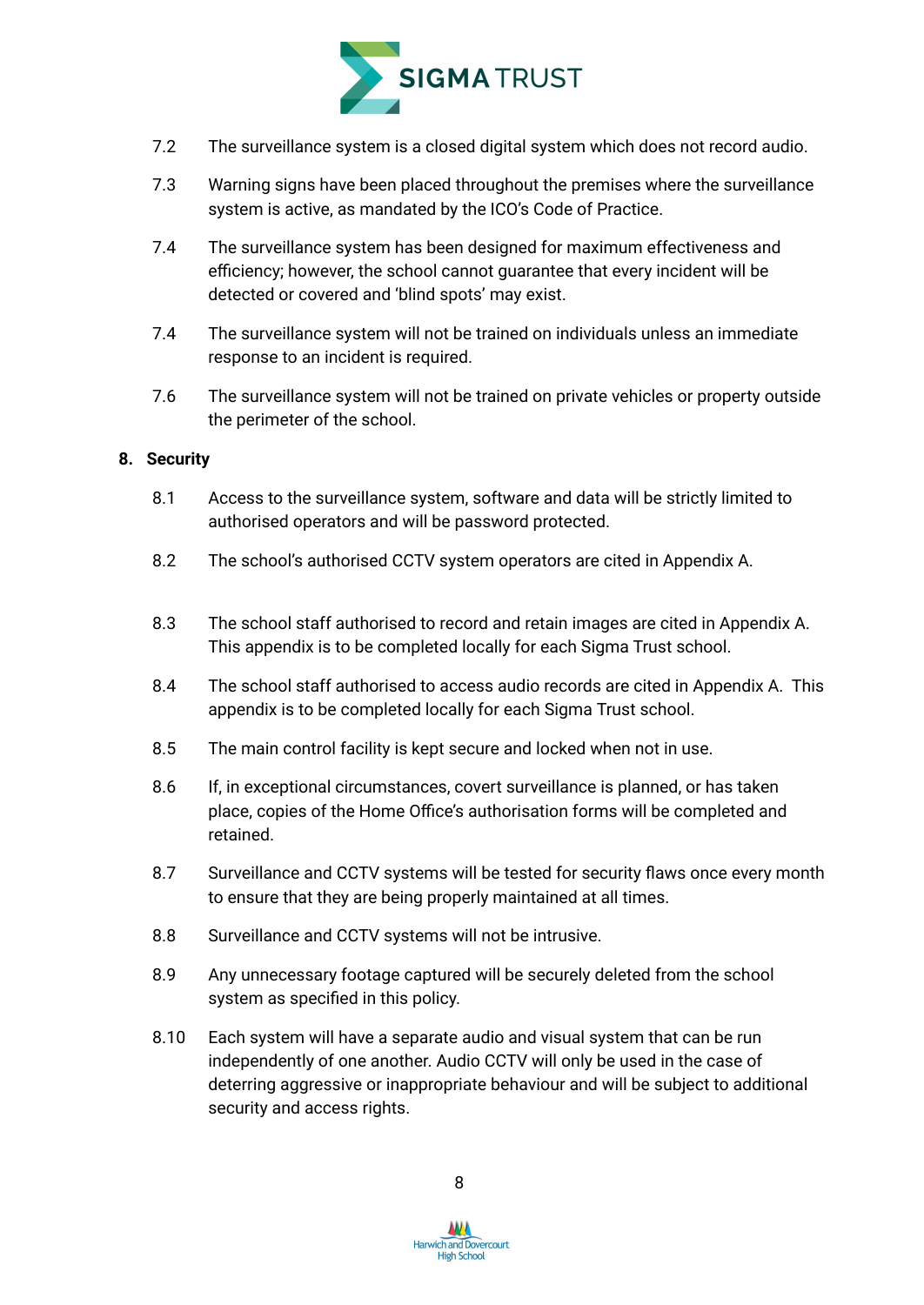

- 7.2 The surveillance system is a closed digital system which does not record audio.
- 7.3 Warning signs have been placed throughout the premises where the surveillance system is active, as mandated by the ICO's Code of Practice.
- 7.4 The surveillance system has been designed for maximum effectiveness and efficiency; however, the school cannot guarantee that every incident will be detected or covered and 'blind spots' may exist.
- 7.4 The surveillance system will not be trained on individuals unless an immediate response to an incident is required.
- 7.6 The surveillance system will not be trained on private vehicles or property outside the perimeter of the school.

#### <span id="page-8-0"></span>**8. Security**

- 8.1 Access to the surveillance system, software and data will be strictly limited to authorised operators and will be password protected.
- 8.2 The school's authorised CCTV system operators are cited in Appendix A.
- 8.3 The school staff authorised to record and retain images are cited in Appendix A. This appendix is to be completed locally for each Sigma Trust school.
- 8.4 The school staff authorised to access audio records are cited in Appendix A. This appendix is to be completed locally for each Sigma Trust school.
- 8.5 The main control facility is kept secure and locked when not in use.
- 8.6 If, in exceptional circumstances, covert surveillance is planned, or has taken place, copies of the Home Office's [authorisation](https://www.gov.uk/government/publications/application-for-use-of-directed-surveillance) forms will be completed and retained.
- 8.7 Surveillance and CCTV systems will be tested for security flaws once every month to ensure that they are being properly maintained at all times.
- 8.8 Surveillance and CCTV systems will not be intrusive.
- 8.9 Any unnecessary footage captured will be securely deleted from the school system as specified in this policy.
- 8.10 Each system will have a separate audio and visual system that can be run independently of one another. Audio CCTV will only be used in the case of deterring aggressive or inappropriate behaviour and will be subject to additional security and access rights.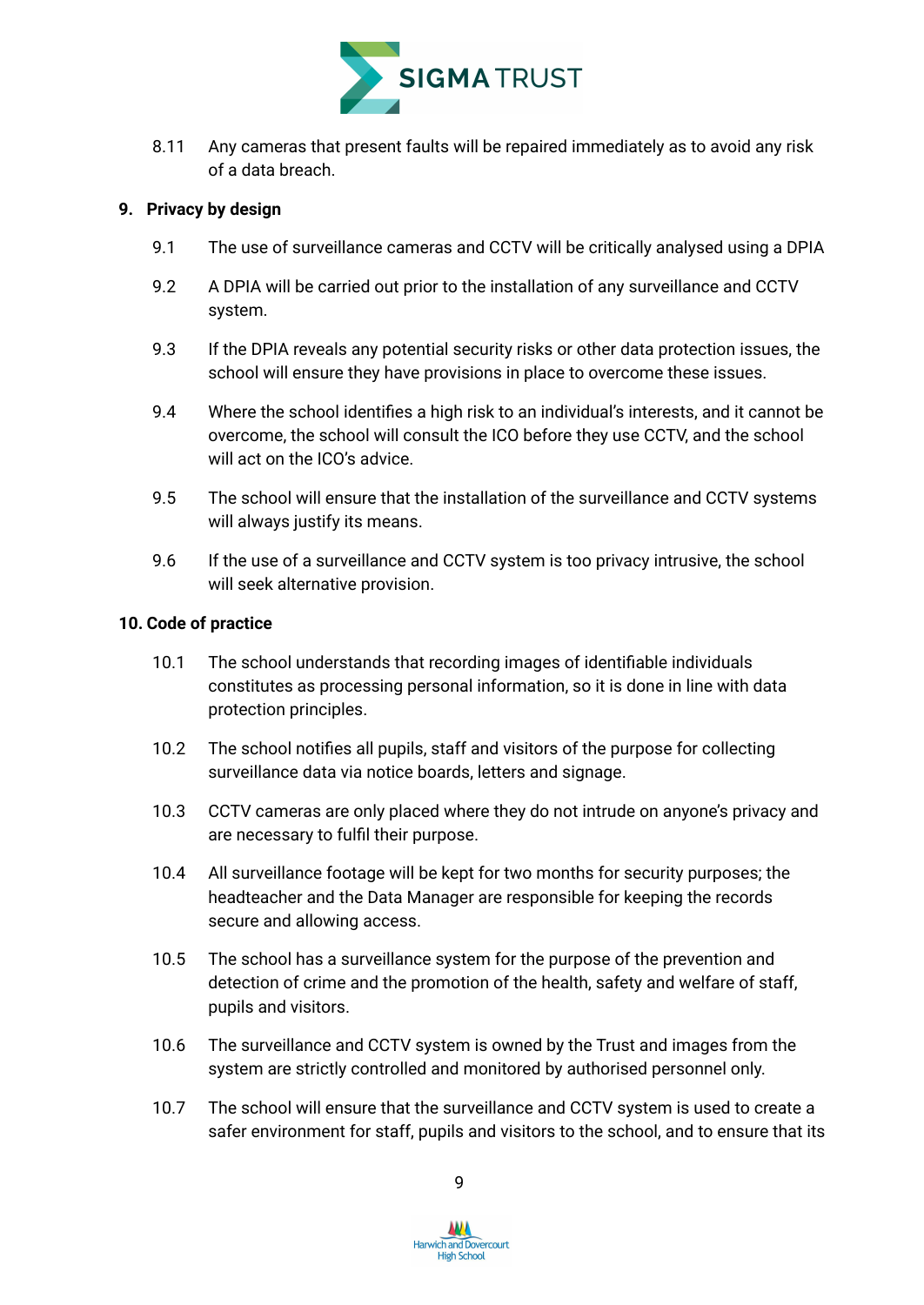

8.11 Any cameras that present faults will be repaired immediately as to avoid any risk of a data breach.

#### <span id="page-9-0"></span>**9. Privacy by design**

- 9.1 The use of surveillance cameras and CCTV will be critically analysed using a DPIA
- 9.2 A DPIA will be carried out prior to the installation of any surveillance and CCTV system.
- 9.3 If the DPIA reveals any potential security risks or other data protection issues, the school will ensure they have provisions in place to overcome these issues.
- 9.4 Where the school identifies a high risk to an individual's interests, and it cannot be overcome, the school will consult the ICO before they use CCTV, and the school will act on the ICO's advice.
- 9.5 The school will ensure that the installation of the surveillance and CCTV systems will always justify its means.
- 9.6 If the use of a surveillance and CCTV system is too privacy intrusive, the school will seek alternative provision.

#### <span id="page-9-1"></span>**10. Code of practice**

- 10.1 The school understands that recording images of identifiable individuals constitutes as processing personal information, so it is done in line with data protection principles.
- 10.2 The school notifies all pupils, staff and visitors of the purpose for collecting surveillance data via notice boards, letters and signage.
- 10.3 CCTV cameras are only placed where they do not intrude on anyone's privacy and are necessary to fulfil their purpose.
- 10.4 All surveillance footage will be kept for two months for security purposes; the headteacher and the Data Manager are responsible for keeping the records secure and allowing access.
- 10.5 The school has a surveillance system for the purpose of the prevention and detection of crime and the promotion of the health, safety and welfare of staff, pupils and visitors.
- 10.6 The surveillance and CCTV system is owned by the Trust and images from the system are strictly controlled and monitored by authorised personnel only.
- 10.7 The school will ensure that the surveillance and CCTV system is used to create a safer environment for staff, pupils and visitors to the school, and to ensure that its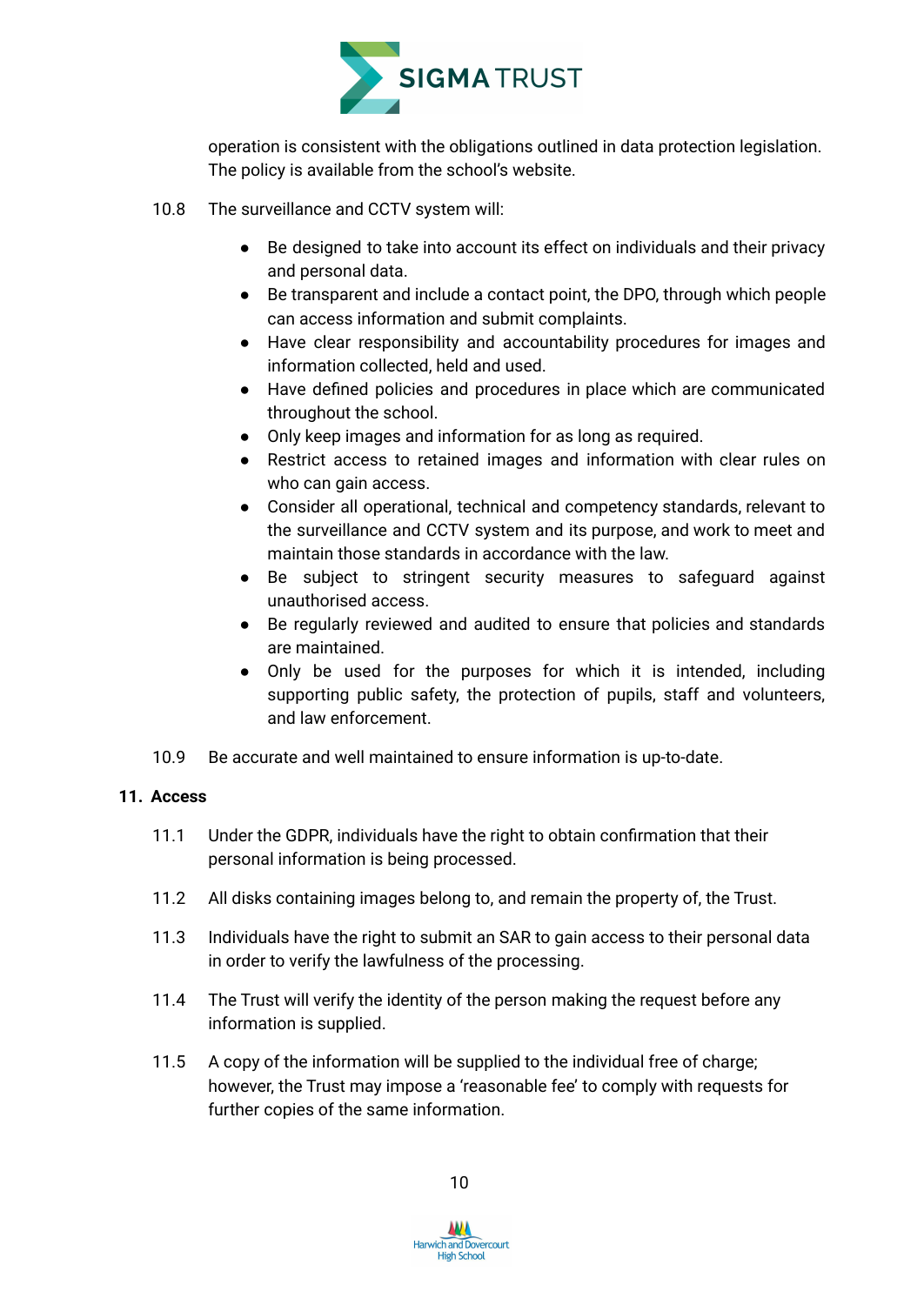

operation is consistent with the obligations outlined in data protection legislation. The policy is available from the school's website.

- 10.8 The surveillance and CCTV system will:
	- Be designed to take into account its effect on individuals and their privacy and personal data.
	- Be transparent and include a contact point, the DPO, through which people can access information and submit complaints.
	- Have clear responsibility and accountability procedures for images and information collected, held and used.
	- Have defined policies and procedures in place which are communicated throughout the school.
	- Only keep images and information for as long as required.
	- Restrict access to retained images and information with clear rules on who can gain access.
	- Consider all operational, technical and competency standards, relevant to the surveillance and CCTV system and its purpose, and work to meet and maintain those standards in accordance with the law.
	- Be subject to stringent security measures to safeguard against unauthorised access.
	- Be regularly reviewed and audited to ensure that policies and standards are maintained.
	- Only be used for the purposes for which it is intended, including supporting public safety, the protection of pupils, staff and volunteers, and law enforcement.
- 10.9 Be accurate and well maintained to ensure information is up-to-date.

#### <span id="page-10-0"></span>**11. Access**

- 11.1 Under the GDPR, individuals have the right to obtain confirmation that their personal information is being processed.
- 11.2 All disks containing images belong to, and remain the property of, the Trust.
- 11.3 Individuals have the right to submit an SAR to gain access to their personal data in order to verify the lawfulness of the processing.
- 11.4 The Trust will verify the identity of the person making the request before any information is supplied.
- 11.5 A copy of the information will be supplied to the individual free of charge; however, the Trust may impose a 'reasonable fee' to comply with requests for further copies of the same information.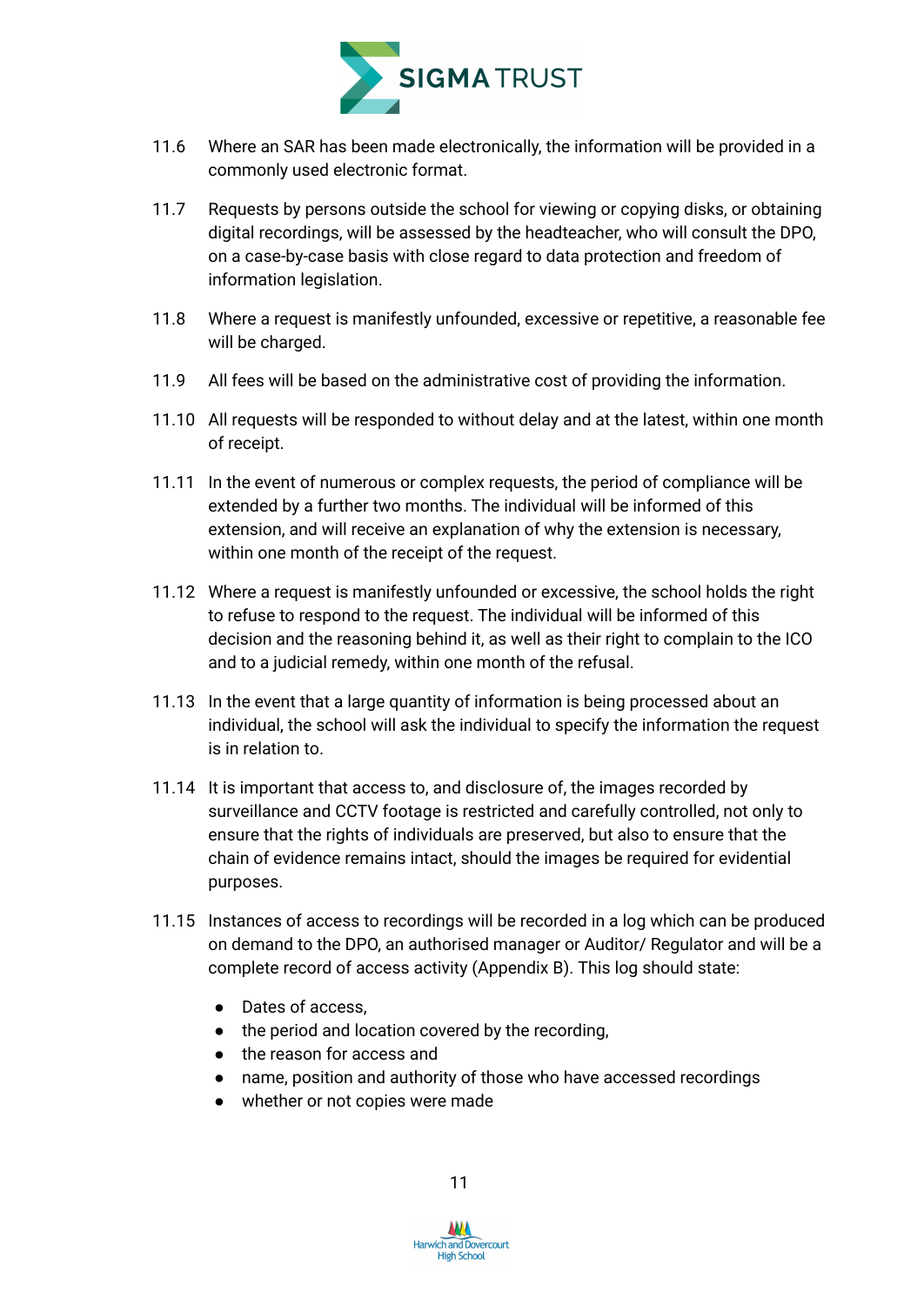

- 11.6 Where an SAR has been made electronically, the information will be provided in a commonly used electronic format.
- 11.7 Requests by persons outside the school for viewing or copying disks, or obtaining digital recordings, will be assessed by the headteacher, who will consult the DPO, on a case-by-case basis with close regard to data protection and freedom of information legislation.
- 11.8 Where a request is manifestly unfounded, excessive or repetitive, a reasonable fee will be charged.
- 11.9 All fees will be based on the administrative cost of providing the information.
- 11.10 All requests will be responded to without delay and at the latest, within one month of receipt.
- 11.11 In the event of numerous or complex requests, the period of compliance will be extended by a further two months. The individual will be informed of this extension, and will receive an explanation of why the extension is necessary, within one month of the receipt of the request.
- 11.12 Where a request is manifestly unfounded or excessive, the school holds the right to refuse to respond to the request. The individual will be informed of this decision and the reasoning behind it, as well as their right to complain to the ICO and to a judicial remedy, within one month of the refusal.
- 11.13 In the event that a large quantity of information is being processed about an individual, the school will ask the individual to specify the information the request is in relation to.
- 11.14 It is important that access to, and disclosure of, the images recorded by surveillance and CCTV footage is restricted and carefully controlled, not only to ensure that the rights of individuals are preserved, but also to ensure that the chain of evidence remains intact, should the images be required for evidential purposes.
- 11.15 Instances of access to recordings will be recorded in a log which can be produced on demand to the DPO, an authorised manager or Auditor/ Regulator and will be a complete record of access activity (Appendix B). This log should state:
	- Dates of access,
	- the period and location covered by the recording,
	- the reason for access and
	- name, position and authority of those who have accessed recordings
	- whether or not copies were made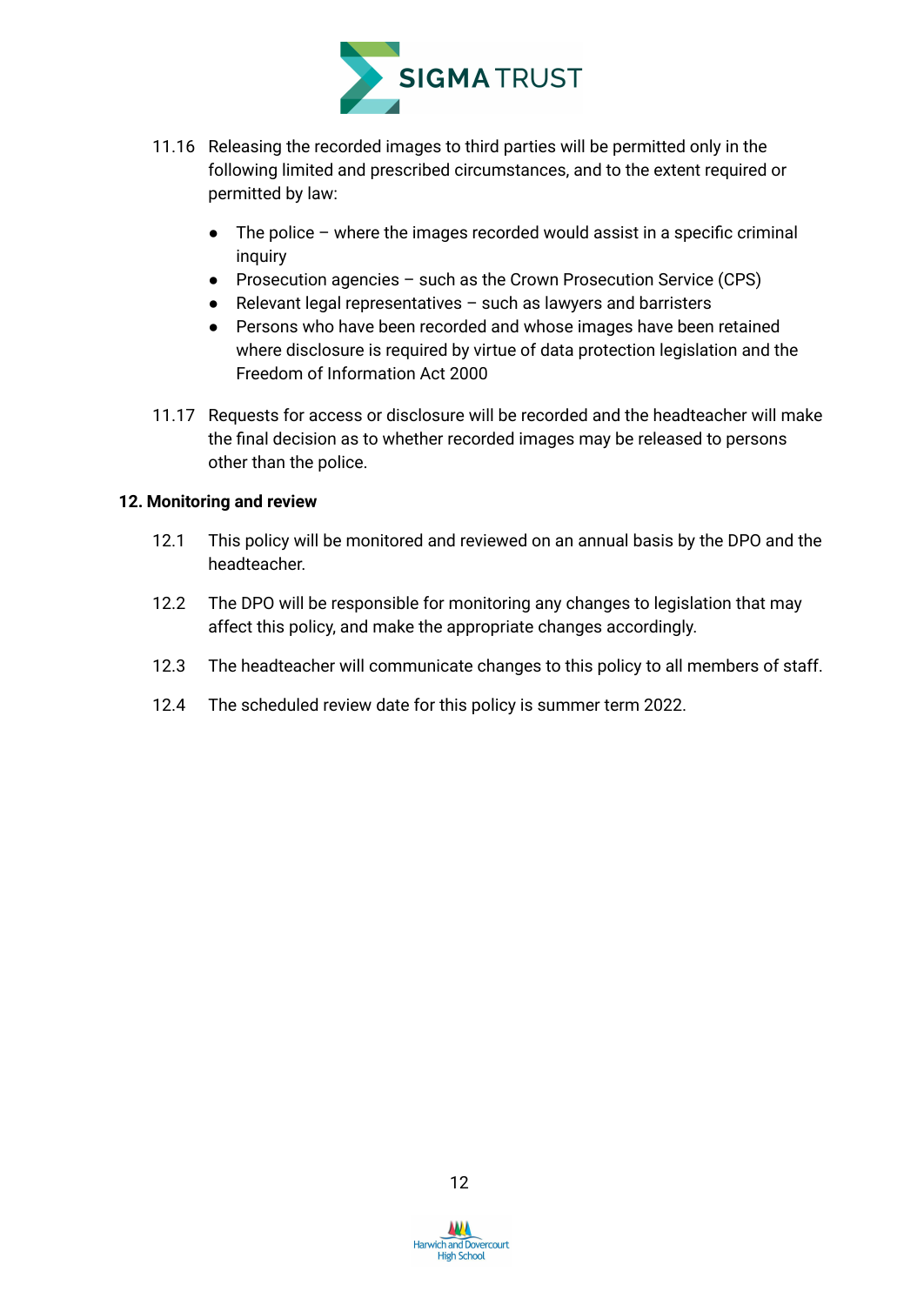

- 11.16 Releasing the recorded images to third parties will be permitted only in the following limited and prescribed circumstances, and to the extent required or permitted by law:
	- $\bullet$  The police where the images recorded would assist in a specific criminal inquiry
	- Prosecution agencies such as the Crown Prosecution Service (CPS)
	- Relevant legal representatives such as lawyers and barristers
	- Persons who have been recorded and whose images have been retained where disclosure is required by virtue of data protection legislation and the Freedom of Information Act 2000
- 11.17 Requests for access or disclosure will be recorded and the headteacher will make the final decision as to whether recorded images may be released to persons other than the police.

#### <span id="page-12-0"></span>**12. Monitoring and review**

- 12.1 This policy will be monitored and reviewed on an annual basis by the DPO and the headteacher.
- 12.2 The DPO will be responsible for monitoring any changes to legislation that may affect this policy, and make the appropriate changes accordingly.
- 12.3 The headteacher will communicate changes to this policy to all members of staff.
- 12.4 The scheduled review date for this policy is summer term 2022.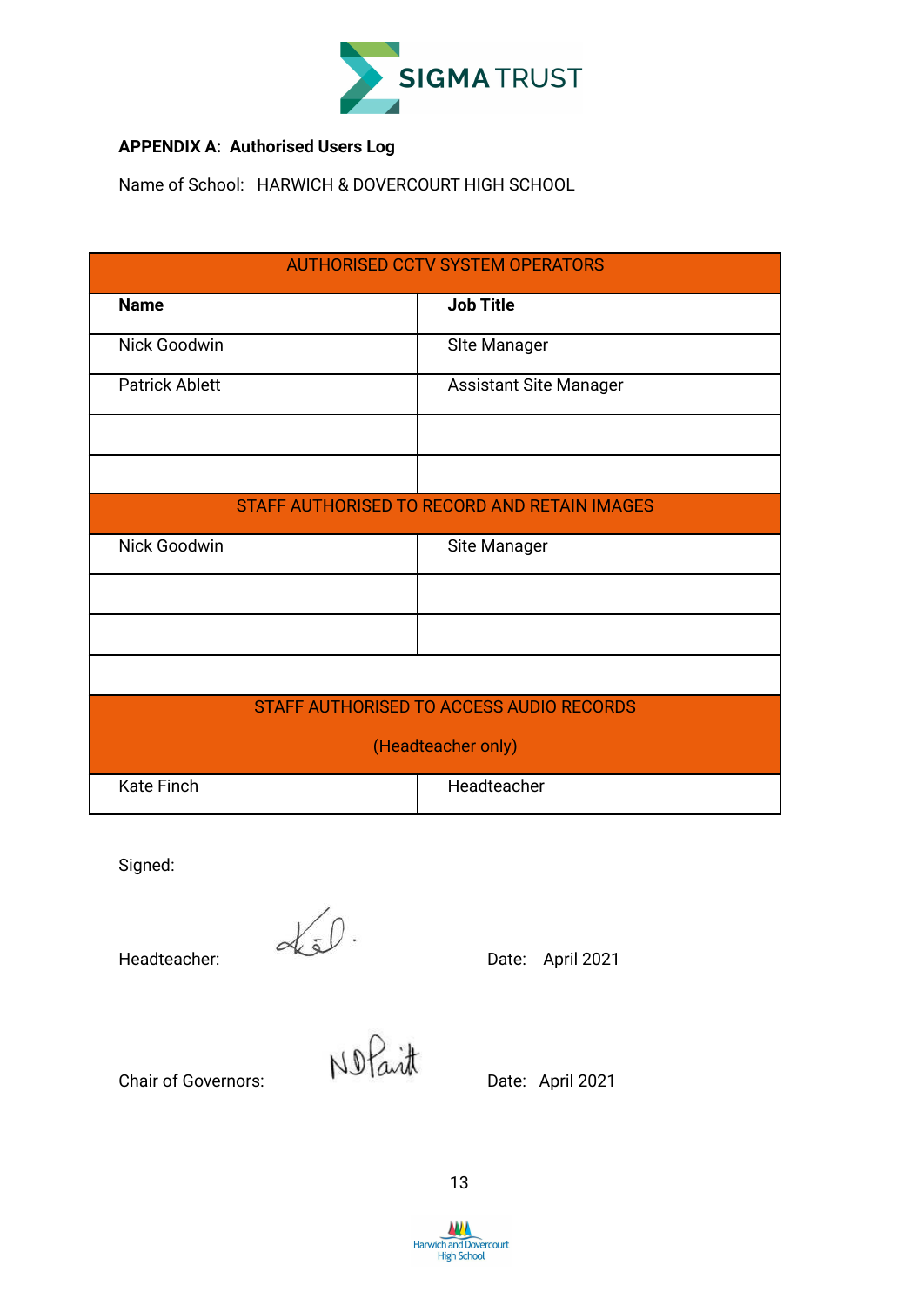

#### **APPENDIX A: Authorised Users Log**

Name of School: HARWICH & DOVERCOURT HIGH SCHOOL

| <b>AUTHORISED CCTV SYSTEM OPERATORS</b> |                                              |  |  |  |  |  |  |
|-----------------------------------------|----------------------------------------------|--|--|--|--|--|--|
| <b>Name</b>                             | <b>Job Title</b>                             |  |  |  |  |  |  |
| Nick Goodwin                            | <b>SIte Manager</b>                          |  |  |  |  |  |  |
| <b>Patrick Ablett</b>                   | <b>Assistant Site Manager</b>                |  |  |  |  |  |  |
|                                         |                                              |  |  |  |  |  |  |
|                                         |                                              |  |  |  |  |  |  |
|                                         | STAFF AUTHORISED TO RECORD AND RETAIN IMAGES |  |  |  |  |  |  |
| Nick Goodwin                            | Site Manager                                 |  |  |  |  |  |  |
|                                         |                                              |  |  |  |  |  |  |
|                                         |                                              |  |  |  |  |  |  |
|                                         |                                              |  |  |  |  |  |  |
|                                         | STAFF AUTHORISED TO ACCESS AUDIO RECORDS     |  |  |  |  |  |  |
|                                         | (Headteacher only)                           |  |  |  |  |  |  |
| <b>Kate Finch</b>                       | Headteacher                                  |  |  |  |  |  |  |

Signed:

Headteacher:  $\alpha$  Date: April 2021

Chair of Governors: Notaint Date: April 2021

13

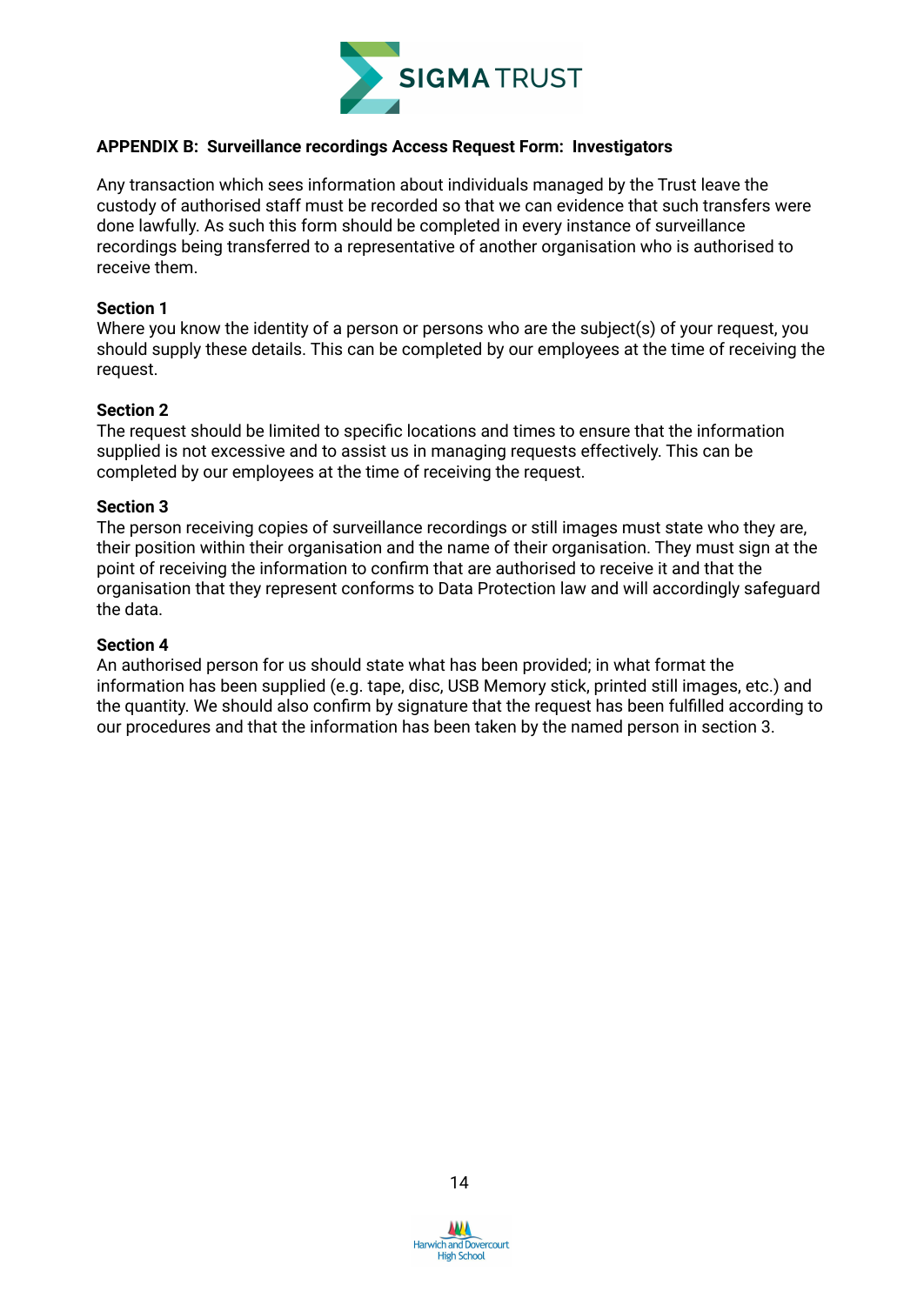

#### **APPENDIX B: Surveillance recordings Access Request Form: Investigators**

Any transaction which sees information about individuals managed by the Trust leave the custody of authorised staff must be recorded so that we can evidence that such transfers were done lawfully. As such this form should be completed in every instance of surveillance recordings being transferred to a representative of another organisation who is authorised to receive them.

#### **Section 1**

Where you know the identity of a person or persons who are the subject(s) of your request, you should supply these details. This can be completed by our employees at the time of receiving the request.

#### **Section 2**

The request should be limited to specific locations and times to ensure that the information supplied is not excessive and to assist us in managing requests effectively. This can be completed by our employees at the time of receiving the request.

#### **Section 3**

The person receiving copies of surveillance recordings or still images must state who they are, their position within their organisation and the name of their organisation. They must sign at the point of receiving the information to confirm that are authorised to receive it and that the organisation that they represent conforms to Data Protection law and will accordingly safeguard the data.

#### **Section 4**

An authorised person for us should state what has been provided; in what format the information has been supplied (e.g. tape, disc, USB Memory stick, printed still images, etc.) and the quantity. We should also confirm by signature that the request has been fulfilled according to our procedures and that the information has been taken by the named person in section 3.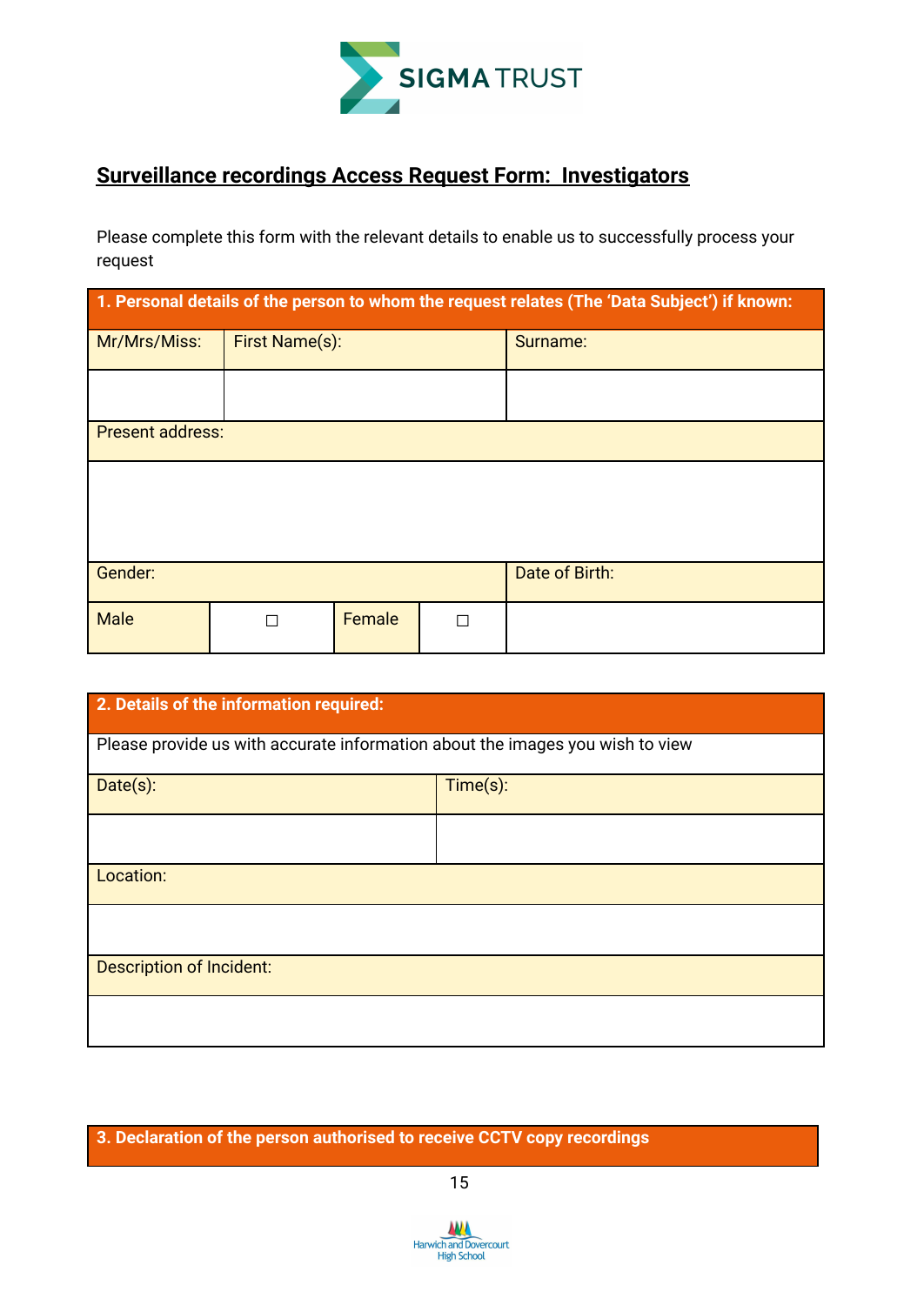

### **Surveillance recordings Access Request Form: Investigators**

Please complete this form with the relevant details to enable us to successfully process your request

| 1. Personal details of the person to whom the request relates (The 'Data Subject') if known: |                |        |   |                |  |  |  |  |
|----------------------------------------------------------------------------------------------|----------------|--------|---|----------------|--|--|--|--|
| Mr/Mrs/Miss:                                                                                 | First Name(s): |        |   | Surname:       |  |  |  |  |
|                                                                                              |                |        |   |                |  |  |  |  |
| <b>Present address:</b>                                                                      |                |        |   |                |  |  |  |  |
|                                                                                              |                |        |   |                |  |  |  |  |
|                                                                                              |                |        |   |                |  |  |  |  |
| Gender:                                                                                      |                |        |   | Date of Birth: |  |  |  |  |
| <b>Male</b>                                                                                  | П              | Female | П |                |  |  |  |  |

| 2. Details of the information required:                                       |          |  |  |  |  |  |
|-------------------------------------------------------------------------------|----------|--|--|--|--|--|
| Please provide us with accurate information about the images you wish to view |          |  |  |  |  |  |
| Date(s):                                                                      | Time(s): |  |  |  |  |  |
|                                                                               |          |  |  |  |  |  |
| Location:                                                                     |          |  |  |  |  |  |
|                                                                               |          |  |  |  |  |  |
| <b>Description of Incident:</b>                                               |          |  |  |  |  |  |
|                                                                               |          |  |  |  |  |  |

**3. Declaration of the person authorised to receive CCTV copy recordings**

15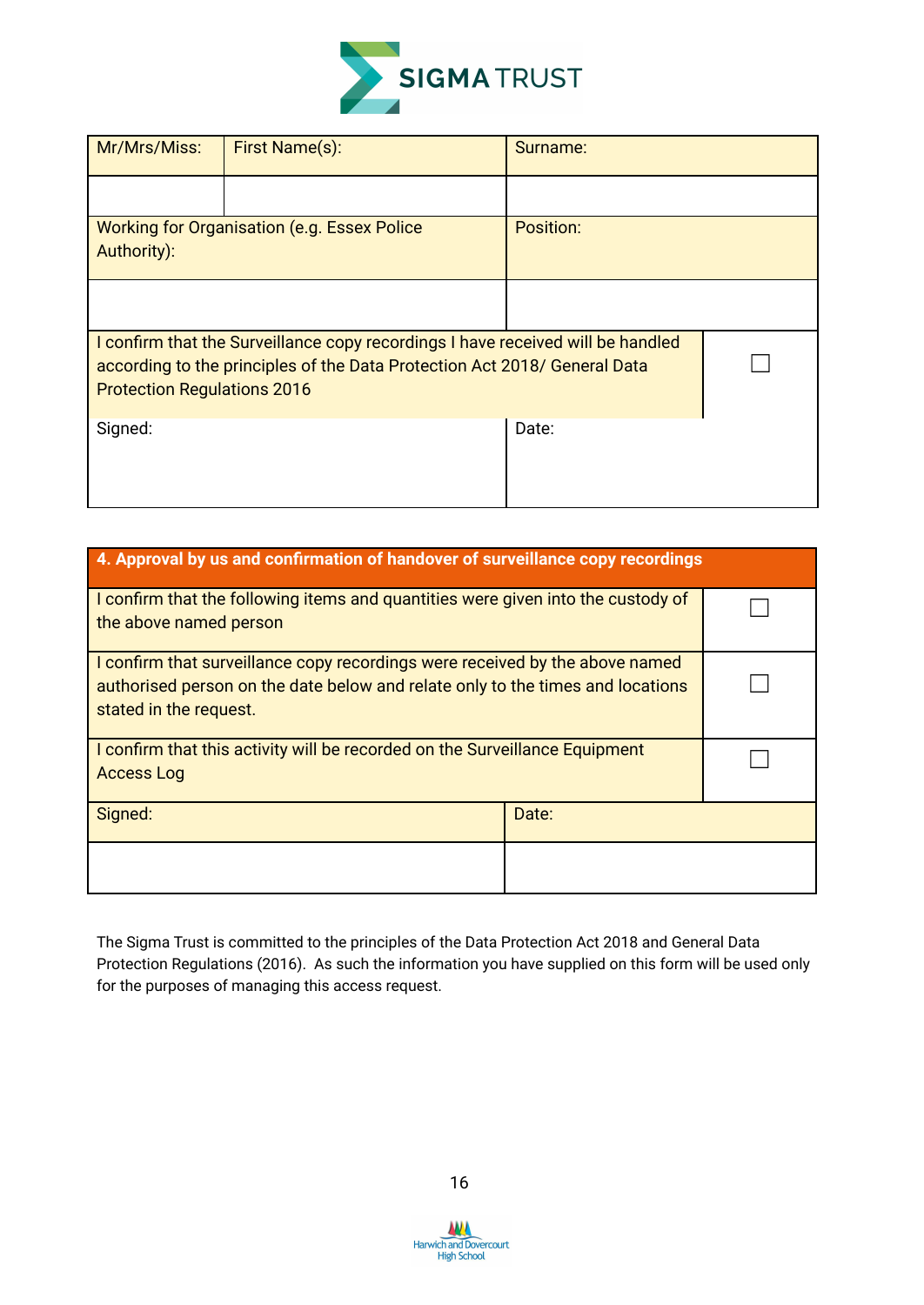

| Mr/Mrs/Miss:                                                                                                                                                                                       | First Name(s):                                      | Surname:  |  |
|----------------------------------------------------------------------------------------------------------------------------------------------------------------------------------------------------|-----------------------------------------------------|-----------|--|
|                                                                                                                                                                                                    |                                                     |           |  |
| Authority):                                                                                                                                                                                        | <b>Working for Organisation (e.g. Essex Police)</b> | Position: |  |
|                                                                                                                                                                                                    |                                                     |           |  |
| I confirm that the Surveillance copy recordings I have received will be handled<br>according to the principles of the Data Protection Act 2018/ General Data<br><b>Protection Regulations 2016</b> |                                                     |           |  |
| Signed:                                                                                                                                                                                            |                                                     | Date:     |  |

| 4. Approval by us and confirmation of handover of surveillance copy recordings                                                                                                           |  |  |  |  |  |
|------------------------------------------------------------------------------------------------------------------------------------------------------------------------------------------|--|--|--|--|--|
| I confirm that the following items and quantities were given into the custody of<br>the above named person                                                                               |  |  |  |  |  |
| I confirm that surveillance copy recordings were received by the above named<br>authorised person on the date below and relate only to the times and locations<br>stated in the request. |  |  |  |  |  |
| I confirm that this activity will be recorded on the Surveillance Equipment<br><b>Access Log</b>                                                                                         |  |  |  |  |  |
| Signed:<br>Date:                                                                                                                                                                         |  |  |  |  |  |
|                                                                                                                                                                                          |  |  |  |  |  |

The Sigma Trust is committed to the principles of the Data Protection Act 2018 and General Data Protection Regulations (2016). As such the information you have supplied on this form will be used only for the purposes of managing this access request.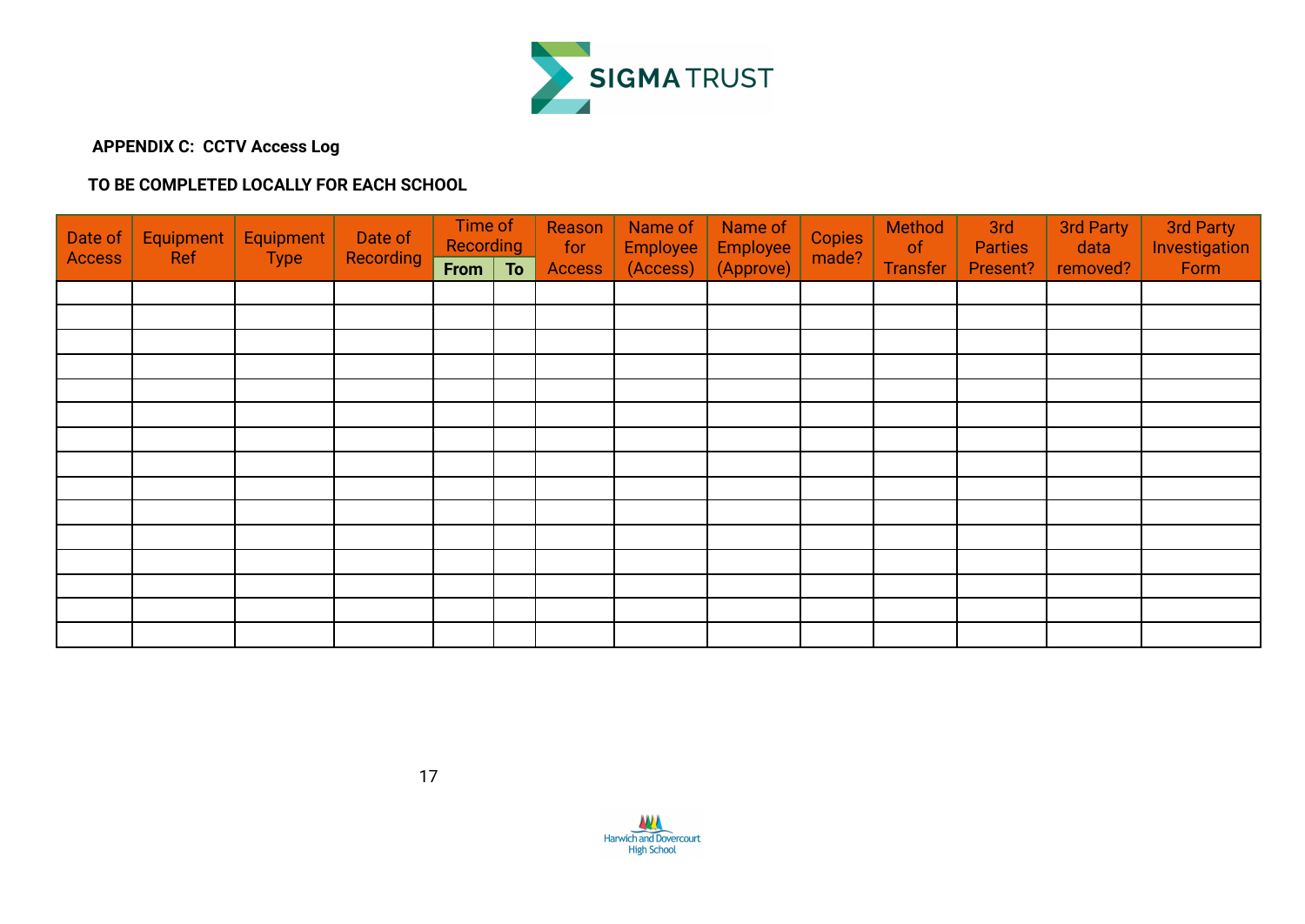

#### **APPENDIX C: CCTV Access Log**

#### **TO BE COMPLETED LOCALLY FOR EACH SCHOOL**

| Date of<br><b>Access</b> | Equipment<br><b>Ref</b> | Equipment<br><b>Type</b> | Date of<br><b>Recording</b> | Time of<br>Recording<br>From | To | Reason<br>for<br><b>Access</b> | Name of<br>Employee<br>(Access) | Name of<br>Employee<br>(Approve) | <b>Copies</b><br>made? | Method<br>of<br><b>Transfer</b> | 3rd<br><b>Parties</b><br>Present? | 3rd Party<br>data<br>removed? | 3rd Party<br>Investigation<br>Form |
|--------------------------|-------------------------|--------------------------|-----------------------------|------------------------------|----|--------------------------------|---------------------------------|----------------------------------|------------------------|---------------------------------|-----------------------------------|-------------------------------|------------------------------------|
|                          |                         |                          |                             |                              |    |                                |                                 |                                  |                        |                                 |                                   |                               |                                    |
|                          |                         |                          |                             |                              |    |                                |                                 |                                  |                        |                                 |                                   |                               |                                    |
|                          |                         |                          |                             |                              |    |                                |                                 |                                  |                        |                                 |                                   |                               |                                    |
|                          |                         |                          |                             |                              |    |                                |                                 |                                  |                        |                                 |                                   |                               |                                    |
|                          |                         |                          |                             |                              |    |                                |                                 |                                  |                        |                                 |                                   |                               |                                    |
|                          |                         |                          |                             |                              |    |                                |                                 |                                  |                        |                                 |                                   |                               |                                    |
|                          |                         |                          |                             |                              |    |                                |                                 |                                  |                        |                                 |                                   |                               |                                    |
|                          |                         |                          |                             |                              |    |                                |                                 |                                  |                        |                                 |                                   |                               |                                    |
|                          |                         |                          |                             |                              |    |                                |                                 |                                  |                        |                                 |                                   |                               |                                    |
|                          |                         |                          |                             |                              |    |                                |                                 |                                  |                        |                                 |                                   |                               |                                    |
|                          |                         |                          |                             |                              |    |                                |                                 |                                  |                        |                                 |                                   |                               |                                    |
|                          |                         |                          |                             |                              |    |                                |                                 |                                  |                        |                                 |                                   |                               |                                    |
|                          |                         |                          |                             |                              |    |                                |                                 |                                  |                        |                                 |                                   |                               |                                    |
|                          |                         |                          |                             |                              |    |                                |                                 |                                  |                        |                                 |                                   |                               |                                    |
|                          |                         |                          |                             |                              |    |                                |                                 |                                  |                        |                                 |                                   |                               |                                    |